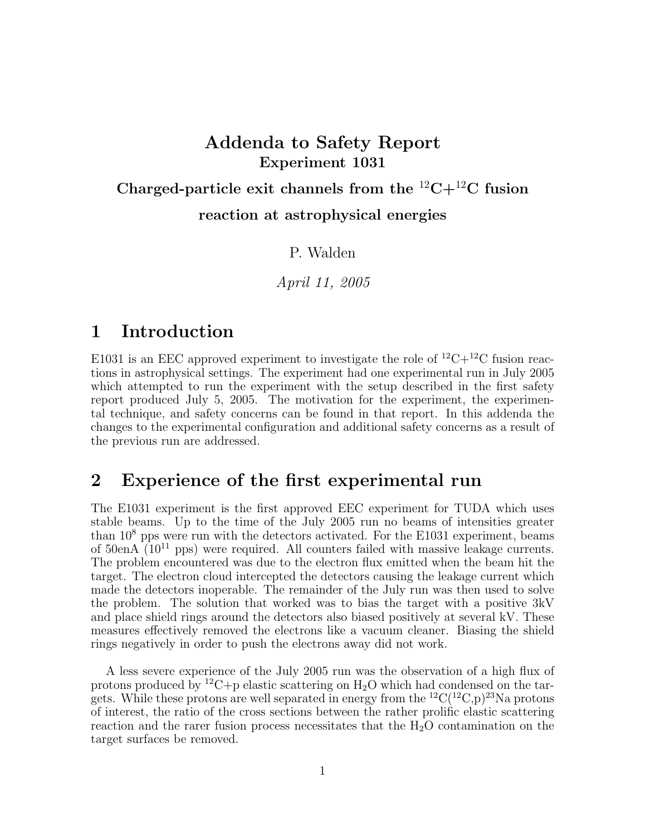# Addenda to Safety Report Experiment 1031

Charged-particle exit channels from the  ${}^{12}C+{}^{12}C$  fusion reaction at astrophysical energies

P. Walden

April 11, 2005

# 1 Introduction

E1031 is an EEC approved experiment to investigate the role of  ${}^{12}C+{}^{12}C$  fusion reactions in astrophysical settings. The experiment had one experimental run in July 2005 which attempted to run the experiment with the setup described in the first safety report produced July 5, 2005. The motivation for the experiment, the experimental technique, and safety concerns can be found in that report. In this addenda the changes to the experimental configuration and additional safety concerns as a result of the previous run are addressed.

# 2 Experience of the first experimental run

The E1031 experiment is the first approved EEC experiment for TUDA which uses stable beams. Up to the time of the July 2005 run no beams of intensities greater than  $10<sup>8</sup>$  pps were run with the detectors activated. For the E1031 experiment, beams of  $50enA$   $(10^{11}$  pps) were required. All counters failed with massive leakage currents. The problem encountered was due to the electron flux emitted when the beam hit the target. The electron cloud intercepted the detectors causing the leakage current which made the detectors inoperable. The remainder of the July run was then used to solve the problem. The solution that worked was to bias the target with a positive 3kV and place shield rings around the detectors also biased positively at several kV. These measures effectively removed the electrons like a vacuum cleaner. Biasing the shield rings negatively in order to push the electrons away did not work.

A less severe experience of the July 2005 run was the observation of a high flux of protons produced by <sup>12</sup>C+p elastic scattering on  $H_2O$  which had condensed on the targets. While these protons are well separated in energy from the  ${}^{12}C({}^{12}C,p){}^{23}Na$  protons of interest, the ratio of the cross sections between the rather prolific elastic scattering reaction and the rarer fusion process necessitates that the  $H_2O$  contamination on the target surfaces be removed.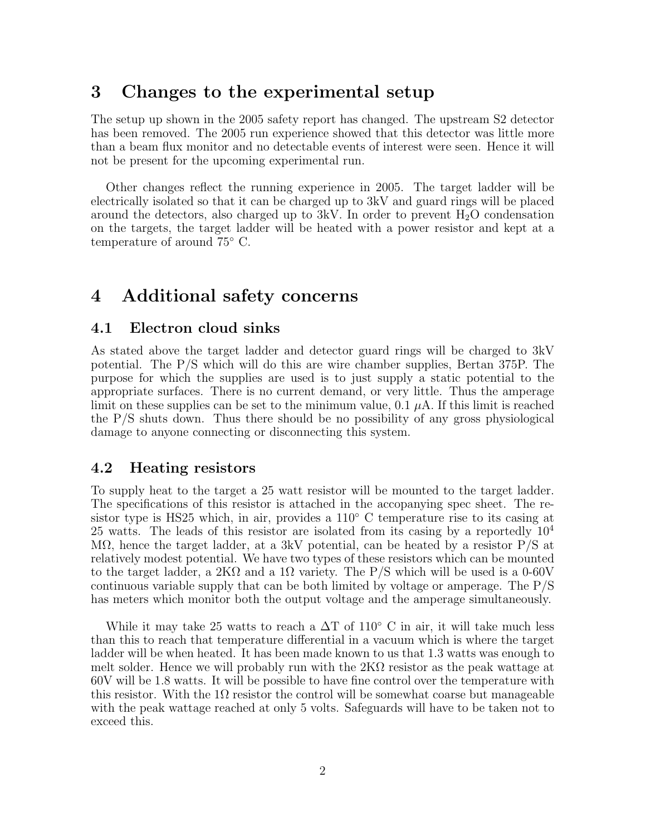# 3 Changes to the experimental setup

The setup up shown in the 2005 safety report has changed. The upstream S2 detector has been removed. The 2005 run experience showed that this detector was little more than a beam flux monitor and no detectable events of interest were seen. Hence it will not be present for the upcoming experimental run.

Other changes reflect the running experience in 2005. The target ladder will be electrically isolated so that it can be charged up to 3kV and guard rings will be placed around the detectors, also charged up to  $3kV$ . In order to prevent  $H_2O$  condensation on the targets, the target ladder will be heated with a power resistor and kept at a temperature of around 75◦ C.

# 4 Additional safety concerns

#### 4.1 Electron cloud sinks

As stated above the target ladder and detector guard rings will be charged to 3kV potential. The P/S which will do this are wire chamber supplies, Bertan 375P. The purpose for which the supplies are used is to just supply a static potential to the appropriate surfaces. There is no current demand, or very little. Thus the amperage limit on these supplies can be set to the minimum value,  $0.1 \mu A$ . If this limit is reached the P/S shuts down. Thus there should be no possibility of any gross physiological damage to anyone connecting or disconnecting this system.

#### 4.2 Heating resistors

To supply heat to the target a 25 watt resistor will be mounted to the target ladder. The specifications of this resistor is attached in the accopanying spec sheet. The resistor type is HS25 which, in air, provides a 110◦ C temperature rise to its casing at 25 watts. The leads of this resistor are isolated from its casing by a reportedly  $10^4$ MΩ, hence the target ladder, at a 3kV potential, can be heated by a resistor  $P/S$  at relatively modest potential. We have two types of these resistors which can be mounted to the target ladder, a 2K $\Omega$  and a 1 $\Omega$  variety. The P/S which will be used is a 0-60V continuous variable supply that can be both limited by voltage or amperage. The P/S has meters which monitor both the output voltage and the amperage simultaneously.

While it may take 25 watts to reach a  $\Delta T$  of 110 $^{\circ}$  C in air, it will take much less than this to reach that temperature differential in a vacuum which is where the target ladder will be when heated. It has been made known to us that 1.3 watts was enough to melt solder. Hence we will probably run with the  $2K\Omega$  resistor as the peak wattage at 60V will be 1.8 watts. It will be possible to have fine control over the temperature with this resistor. With the 1 $\Omega$  resistor the control will be somewhat coarse but manageable with the peak wattage reached at only 5 volts. Safeguards will have to be taken not to exceed this.